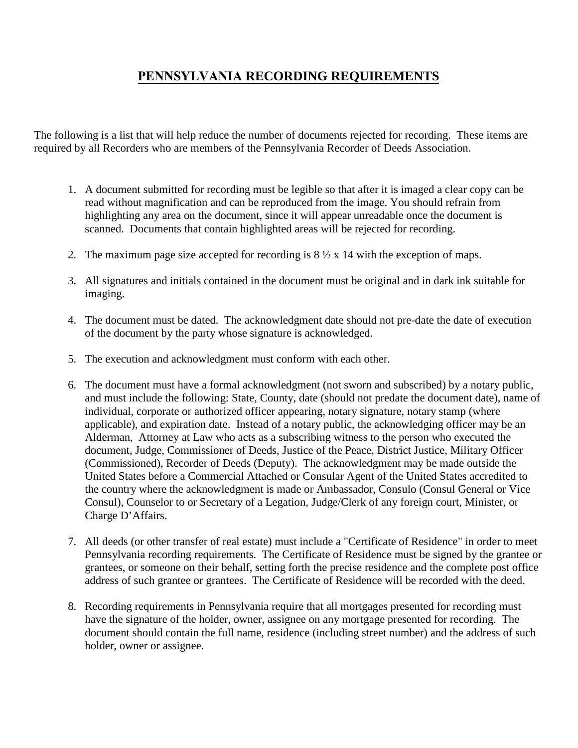## **PENNSYLVANIA RECORDING REQUIREMENTS**

The following is a list that will help reduce the number of documents rejected for recording. These items are required by all Recorders who are members of the Pennsylvania Recorder of Deeds Association.

- 1. A document submitted for recording must be legible so that after it is imaged a clear copy can be read without magnification and can be reproduced from the image. You should refrain from highlighting any area on the document, since it will appear unreadable once the document is scanned. Documents that contain highlighted areas will be rejected for recording.
- 2. The maximum page size accepted for recording is  $8\frac{1}{2} \times 14$  with the exception of maps.
- 3. All signatures and initials contained in the document must be original and in dark ink suitable for imaging.
- 4. The document must be dated. The acknowledgment date should not pre-date the date of execution of the document by the party whose signature is acknowledged.
- 5. The execution and acknowledgment must conform with each other.
- 6. The document must have a formal acknowledgment (not sworn and subscribed) by a notary public, and must include the following: State, County, date (should not predate the document date), name of individual, corporate or authorized officer appearing, notary signature, notary stamp (where applicable), and expiration date. Instead of a notary public, the acknowledging officer may be an Alderman, Attorney at Law who acts as a subscribing witness to the person who executed the document, Judge, Commissioner of Deeds, Justice of the Peace, District Justice, Military Officer (Commissioned), Recorder of Deeds (Deputy). The acknowledgment may be made outside the United States before a Commercial Attached or Consular Agent of the United States accredited to the country where the acknowledgment is made or Ambassador, Consulo (Consul General or Vice Consul), Counselor to or Secretary of a Legation, Judge/Clerk of any foreign court, Minister, or Charge D'Affairs.
- 7. All deeds (or other transfer of real estate) must include a "Certificate of Residence" in order to meet Pennsylvania recording requirements. The Certificate of Residence must be signed by the grantee or grantees, or someone on their behalf, setting forth the precise residence and the complete post office address of such grantee or grantees. The Certificate of Residence will be recorded with the deed.
- 8. Recording requirements in Pennsylvania require that all mortgages presented for recording must have the signature of the holder, owner, assignee on any mortgage presented for recording. The document should contain the full name, residence (including street number) and the address of such holder, owner or assignee.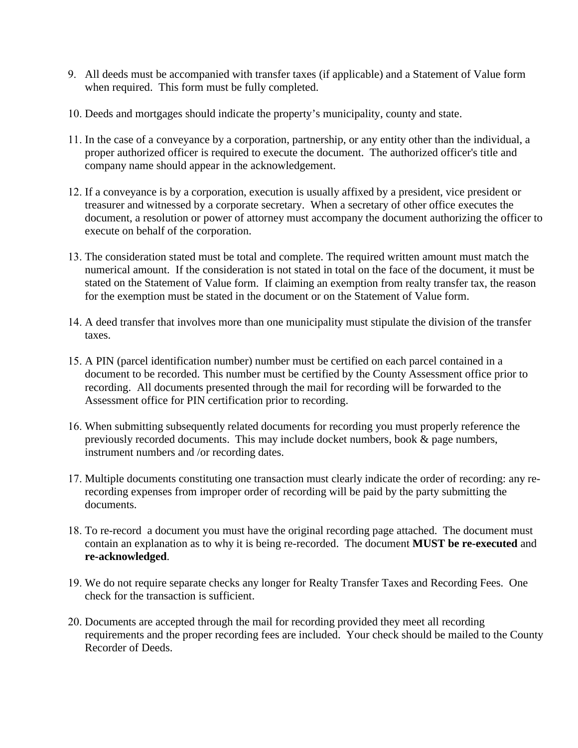- 9. All deeds must be accompanied with transfer taxes (if applicable) and a Statement of Value form when required. This form must be fully completed.
- 10. Deeds and mortgages should indicate the property's municipality, county and state.
- 11. In the case of a conveyance by a corporation, partnership, or any entity other than the individual, a proper authorized officer is required to execute the document. The authorized officer's title and company name should appear in the acknowledgement.
- 12. If a conveyance is by a corporation, execution is usually affixed by a president, vice president or treasurer and witnessed by a corporate secretary. When a secretary of other office executes the document, a resolution or power of attorney must accompany the document authorizing the officer to execute on behalf of the corporation.
- 13. The consideration stated must be total and complete. The required written amount must match the numerical amount. If the consideration is not stated in total on the face of the document, it must be stated on the Statement of Value form. If claiming an exemption from realty transfer tax, the reason for the exemption must be stated in the document or on the Statement of Value form.
- 14. A deed transfer that involves more than one municipality must stipulate the division of the transfer taxes.
- 15. A PIN (parcel identification number) number must be certified on each parcel contained in a document to be recorded. This number must be certified by the County Assessment office prior to recording. All documents presented through the mail for recording will be forwarded to the Assessment office for PIN certification prior to recording.
- 16. When submitting subsequently related documents for recording you must properly reference the previously recorded documents. This may include docket numbers, book & page numbers, instrument numbers and /or recording dates.
- 17. Multiple documents constituting one transaction must clearly indicate the order of recording: any rerecording expenses from improper order of recording will be paid by the party submitting the documents.
- 18. To re-record a document you must have the original recording page attached. The document must contain an explanation as to why it is being re-recorded. The document **MUST be re-executed** and **re-acknowledged**.
- 19. We do not require separate checks any longer for Realty Transfer Taxes and Recording Fees. One check for the transaction is sufficient.
- 20. Documents are accepted through the mail for recording provided they meet all recording requirements and the proper recording fees are included. Your check should be mailed to the County Recorder of Deeds.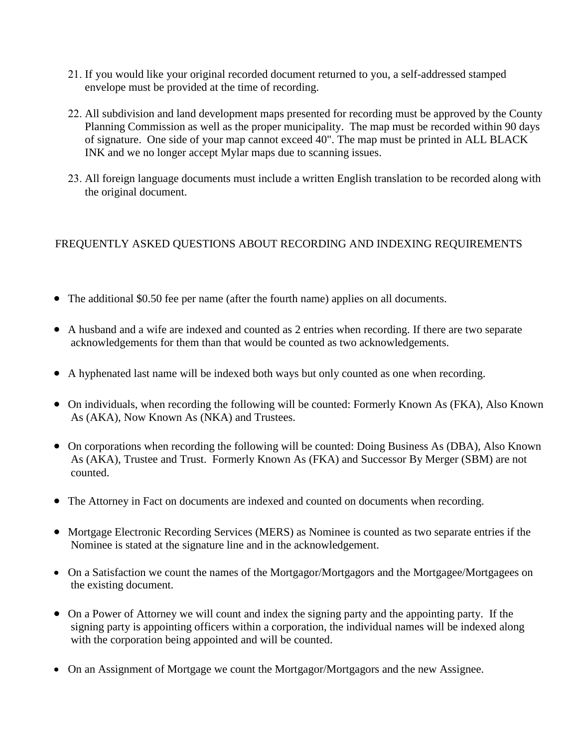- 21. If you would like your original recorded document returned to you, a self-addressed stamped envelope must be provided at the time of recording.
- 22. All subdivision and land development maps presented for recording must be approved by the County Planning Commission as well as the proper municipality. The map must be recorded within 90 days of signature. One side of your map cannot exceed 40". The map must be printed in ALL BLACK INK and we no longer accept Mylar maps due to scanning issues.
- 23. All foreign language documents must include a written English translation to be recorded along with the original document.

## FREQUENTLY ASKED QUESTIONS ABOUT RECORDING AND INDEXING REQUIREMENTS

- The additional \$0.50 fee per name (after the fourth name) applies on all documents.
- A husband and a wife are indexed and counted as 2 entries when recording. If there are two separate acknowledgements for them than that would be counted as two acknowledgements.
- A hyphenated last name will be indexed both ways but only counted as one when recording.
- On individuals, when recording the following will be counted: Formerly Known As (FKA), Also Known As (AKA), Now Known As (NKA) and Trustees.
- On corporations when recording the following will be counted: Doing Business As (DBA), Also Known As (AKA), Trustee and Trust. Formerly Known As (FKA) and Successor By Merger (SBM) are not counted.
- The Attorney in Fact on documents are indexed and counted on documents when recording.
- Mortgage Electronic Recording Services (MERS) as Nominee is counted as two separate entries if the Nominee is stated at the signature line and in the acknowledgement.
- On a Satisfaction we count the names of the Mortgagor/Mortgagors and the Mortgagee/Mortgagees on the existing document.
- On a Power of Attorney we will count and index the signing party and the appointing party. If the signing party is appointing officers within a corporation, the individual names will be indexed along with the corporation being appointed and will be counted.
- On an Assignment of Mortgage we count the Mortgagor/Mortgagors and the new Assignee.